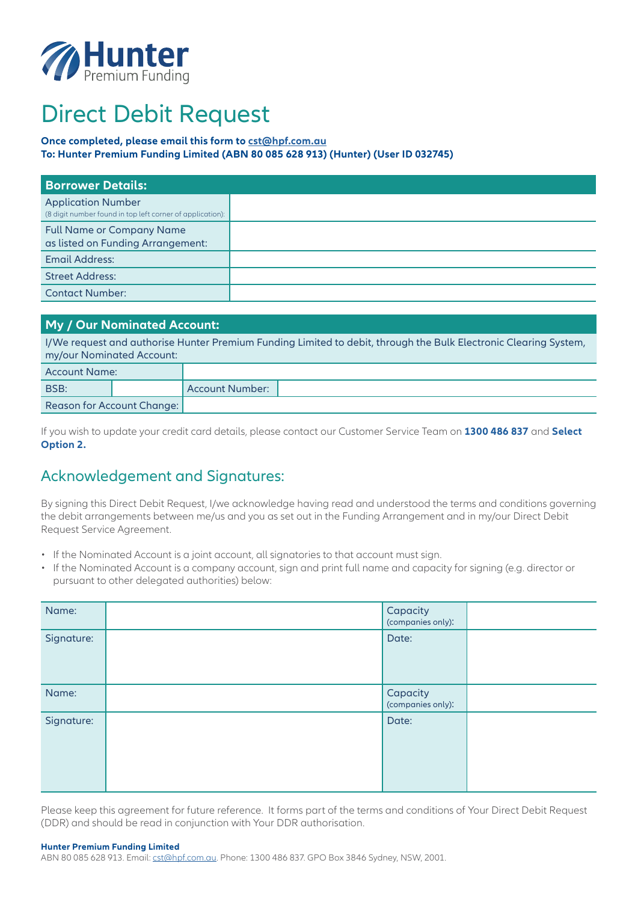

# Direct Debit Request

#### **Once completed, please email this form to [cst@hpf.com.au](mailto:cst%40hpf.com.au?subject=)**

**To: Hunter Premium Funding Limited (ABN 80 085 628 913) (Hunter) (User ID 032745)**

| <b>Borrower Details:</b>                                                               |  |
|----------------------------------------------------------------------------------------|--|
| <b>Application Number</b><br>(8 digit number found in top left corner of application): |  |
| <b>Full Name or Company Name</b><br>as listed on Funding Arrangement:                  |  |
| <b>Email Address:</b>                                                                  |  |
| <b>Street Address:</b>                                                                 |  |
| <b>Contact Number:</b>                                                                 |  |

## **My / Our Nominated Account:**

I/We request and authorise Hunter Premium Funding Limited to debit, through the Bulk Electronic Clearing System, my/our Nominated Account:

| Account Name:              |                   |  |
|----------------------------|-------------------|--|
| BSB:                       | Account Number: 1 |  |
| Reason for Account Change: |                   |  |

If you wish to update your credit card details, please contact our Customer Service Team on **1300 486 837** and **Select Option 2.**

## Acknowledgement and Signatures:

By signing this Direct Debit Request, I/we acknowledge having read and understood the terms and conditions governing the debit arrangements between me/us and you as set out in the Funding Arrangement and in my/our Direct Debit Request Service Agreement.

- If the Nominated Account is a joint account, all signatories to that account must sign.
- If the Nominated Account is a company account, sign and print full name and capacity for signing (e.g. director or pursuant to other delegated authorities) below:

| Name:      | Capacity<br>(companies only): |  |
|------------|-------------------------------|--|
| Signature: | Date:                         |  |
| Name:      | Capacity<br>(companies only): |  |
| Signature: | Date:                         |  |

Please keep this agreement for future reference. It forms part of the terms and conditions of Your Direct Debit Request (DDR) and should be read in conjunction with Your DDR authorisation.

#### **Hunter Premium Funding Limited**

ABN 80 085 628 913. Email: [cst@hpf.com.au](mailto:?subject=). Phone: 1300 486 837. GPO Box 3846 Sydney, NSW, 2001.